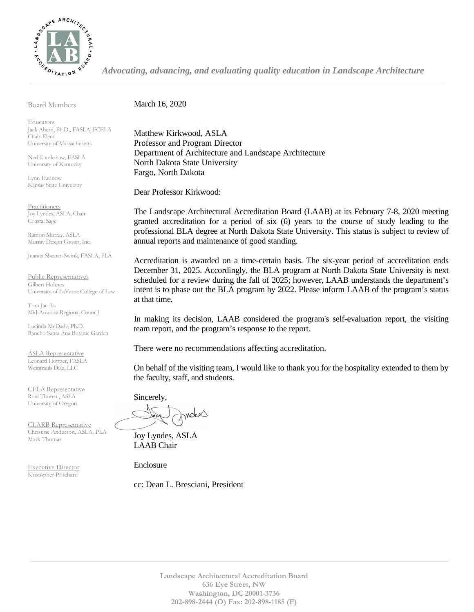

*Advocating, advancing, and evaluating quality education in Landscape Architecture*

Board Members

March 16, 2020

**Educators** Jack Ahern, Ph.D., FASLA, FCELA Chair-Elect University of Massachusetts

Ned Crankshaw, FASLA University of Kentucky

Lynn Ewanow Kansas State University

**Practitioners** Joy Lyndes, ASLA, Chair Coastal Sage

Ramon Murray, ASLA Murray Design Group, Inc.

Juanita Shearer-Swink, FASLA, PLA

Public Representatives Gilbert Holmes University of LaVerne College of Law

Tom Jacobs Mid-America Regional Council

Lucinda McDade, Ph.D. Rancho Santa Ana Botanic Garden

ASLA Representative Leonard Hopper, FASLA Weintraub Diaz, LLC

CELA Representative Roxi Thoren., ASLA University of Oregon

CLARB Representative Christine Anderson, ASLA, PLA Mark Thomas

Executive Director Kristopher Pritchard

Matthew Kirkwood, ASLA Professor and Program Director Department of Architecture and Landscape Architecture North Dakota State University Fargo, North Dakota

Dear Professor Kirkwood:

The Landscape Architectural Accreditation Board (LAAB) at its February 7-8, 2020 meeting granted accreditation for a period of six (6) years to the course of study leading to the professional BLA degree at North Dakota State University. This status is subject to review of annual reports and maintenance of good standing.

Accreditation is awarded on a time-certain basis. The six-year period of accreditation ends December 31, 2025. Accordingly, the BLA program at North Dakota State University is next scheduled for a review during the fall of 2025; however, LAAB understands the department's intent is to phase out the BLA program by 2022. Please inform LAAB of the program's status at that time.

In making its decision, LAAB considered the program's self-evaluation report, the visiting team report, and the program's response to the report.

There were no recommendations affecting accreditation.

On behalf of the visiting team, I would like to thank you for the hospitality extended to them by the faculty, staff, and students.

Sincerely, motes

Joy Lyndes, ASLA LAAB Chair

Enclosure

cc: Dean L. Bresciani, President